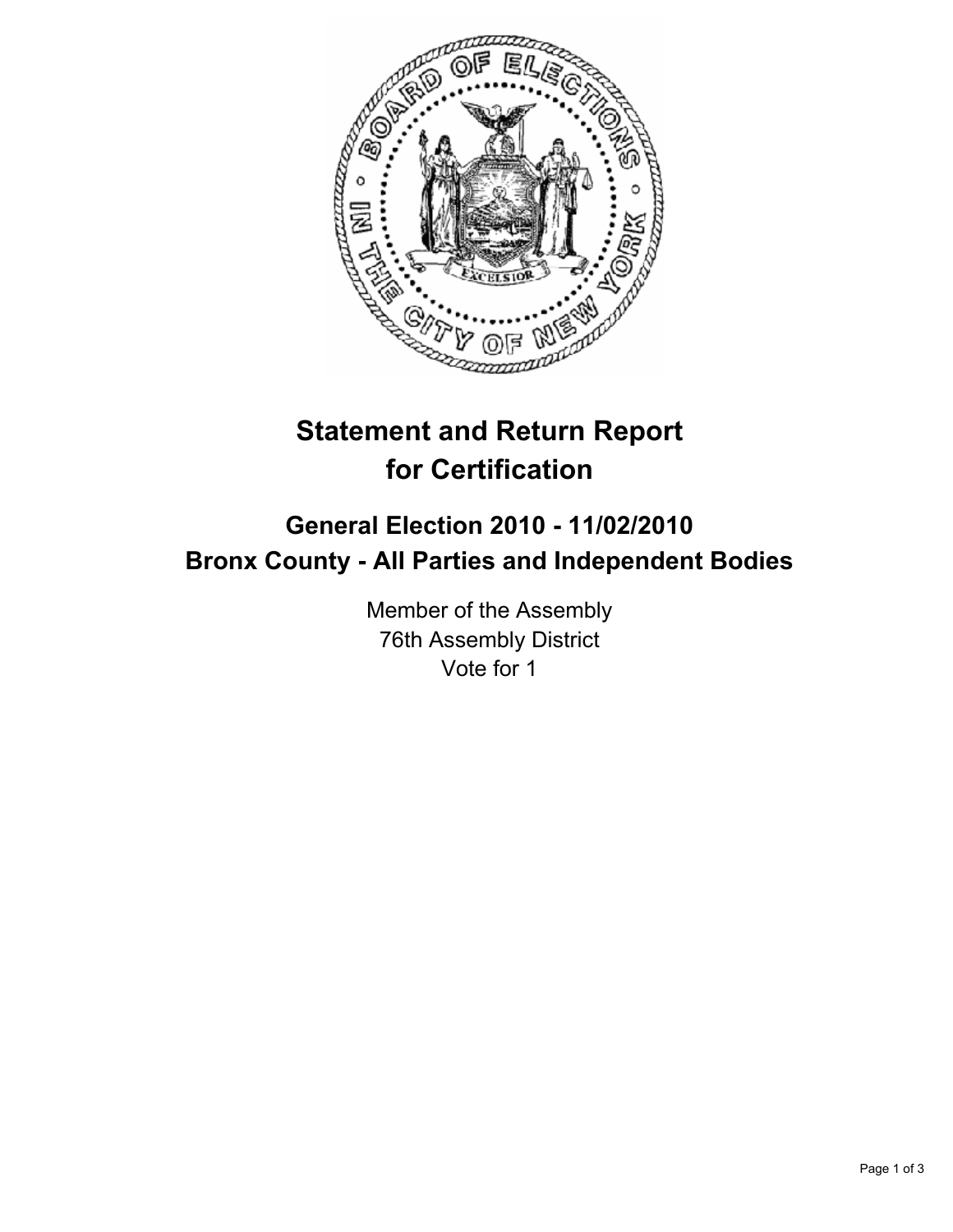

# **Statement and Return Report for Certification**

## **General Election 2010 - 11/02/2010 Bronx County - All Parties and Independent Bodies**

Member of the Assembly 76th Assembly District Vote for 1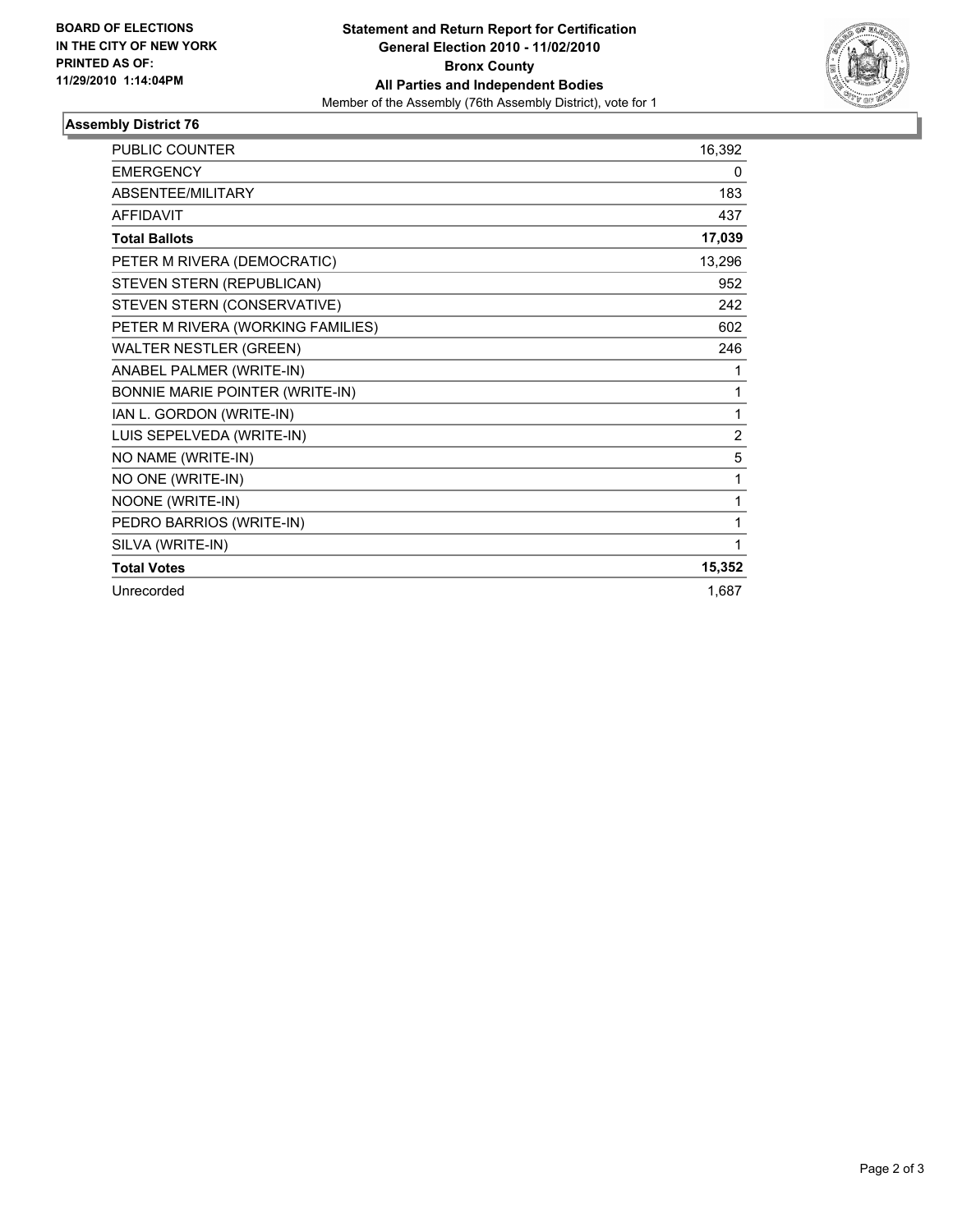

### **Assembly District 76**

| <b>PUBLIC COUNTER</b>             | 16,392         |
|-----------------------------------|----------------|
| <b>EMERGENCY</b>                  | 0              |
| <b>ABSENTEE/MILITARY</b>          | 183            |
| <b>AFFIDAVIT</b>                  | 437            |
| <b>Total Ballots</b>              | 17,039         |
| PETER M RIVERA (DEMOCRATIC)       | 13,296         |
| STEVEN STERN (REPUBLICAN)         | 952            |
| STEVEN STERN (CONSERVATIVE)       | 242            |
| PETER M RIVERA (WORKING FAMILIES) | 602            |
| <b>WALTER NESTLER (GREEN)</b>     | 246            |
| ANABEL PALMER (WRITE-IN)          | 1              |
| BONNIE MARIE POINTER (WRITE-IN)   | 1              |
| IAN L. GORDON (WRITE-IN)          | 1              |
| LUIS SEPELVEDA (WRITE-IN)         | $\overline{2}$ |
| NO NAME (WRITE-IN)                | 5              |
| NO ONE (WRITE-IN)                 | 1              |
| NOONE (WRITE-IN)                  | 1              |
| PEDRO BARRIOS (WRITE-IN)          | 1              |
| SILVA (WRITE-IN)                  | 1              |
| <b>Total Votes</b>                | 15,352         |
| Unrecorded                        | 1,687          |